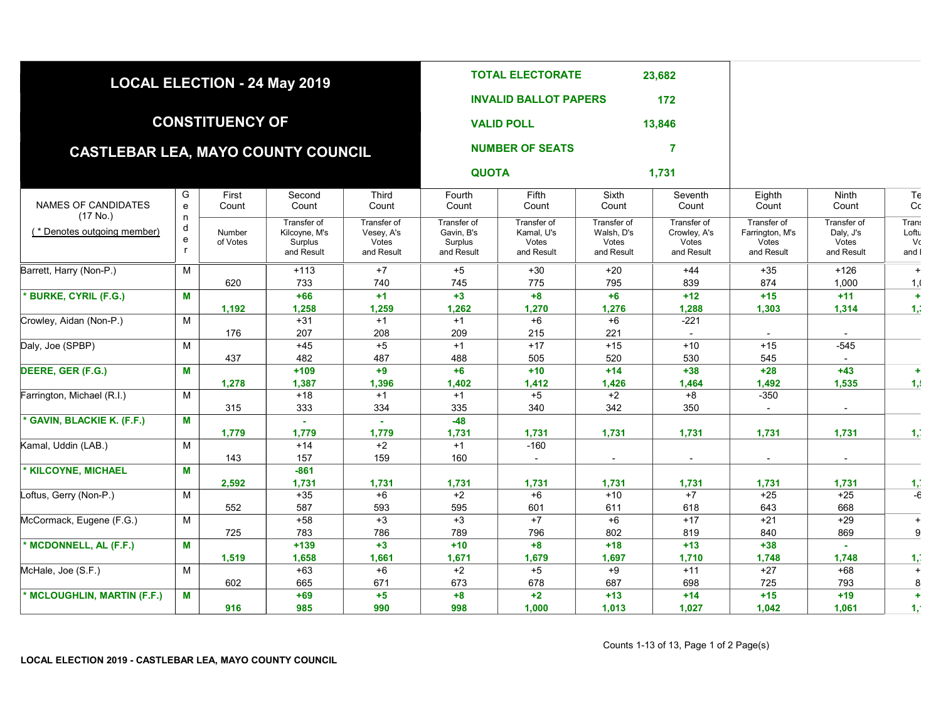|                                           |                             |                        | LOCAL ELECTION - 24 May 2019                          |                                                  |                                                    | <b>TOTAL ELECTORATE</b>                          |                                                  | 23,682                                             |                                                       |                                                 |                                      |
|-------------------------------------------|-----------------------------|------------------------|-------------------------------------------------------|--------------------------------------------------|----------------------------------------------------|--------------------------------------------------|--------------------------------------------------|----------------------------------------------------|-------------------------------------------------------|-------------------------------------------------|--------------------------------------|
|                                           |                             |                        |                                                       |                                                  |                                                    | <b>INVALID BALLOT PAPERS</b>                     |                                                  | 172                                                |                                                       |                                                 |                                      |
|                                           |                             | <b>CONSTITUENCY OF</b> |                                                       |                                                  |                                                    | <b>VALID POLL</b>                                |                                                  | 13,846                                             |                                                       |                                                 |                                      |
| <b>CASTLEBAR LEA, MAYO COUNTY COUNCIL</b> |                             |                        |                                                       |                                                  |                                                    | <b>NUMBER OF SEATS</b>                           |                                                  | 7                                                  |                                                       |                                                 |                                      |
|                                           |                             |                        |                                                       |                                                  | <b>QUOTA</b>                                       |                                                  |                                                  | 1,731                                              |                                                       |                                                 |                                      |
| NAMES OF CANDIDATES                       | G<br>e                      | First<br>Count         | Second<br>Count                                       | Third<br>Count                                   | Fourth<br>Count                                    | Fifth<br>Count                                   | Sixth<br>Count                                   | Seventh<br>Count                                   | Eighth<br>Count                                       | Ninth<br>Count                                  | Te<br>Cc                             |
| (17 No.)<br>(* Denotes outgoing member)   | n<br>d<br>e<br>$\mathsf{r}$ | Number<br>of Votes     | Transfer of<br>Kilcoyne, M's<br>Surplus<br>and Result | Transfer of<br>Vesey, A's<br>Votes<br>and Result | Transfer of<br>Gavin, B's<br>Surplus<br>and Result | Transfer of<br>Kamal, U's<br>Votes<br>and Result | Transfer of<br>Walsh, D's<br>Votes<br>and Result | Transfer of<br>Crowley, A's<br>Votes<br>and Result | Transfer of<br>Farrington, M's<br>Votes<br>and Result | Transfer of<br>Daly, J's<br>Votes<br>and Result | <b>Trans</b><br>Loftu<br>Vc<br>and I |
| Barrett, Harry (Non-P.)                   | M                           |                        | $+113$                                                | $+7$                                             | $+5$                                               | $+30$                                            | $+20$                                            | $+44$                                              | $+35$                                                 | $+126$                                          | $+$                                  |
|                                           |                             | 620                    | 733                                                   | 740                                              | 745                                                | 775                                              | 795                                              | 839                                                | 874                                                   | 1,000                                           | 1, 1                                 |
| <b>BURKE, CYRIL (F.G.)</b>                | M                           |                        | $+66$                                                 | $+1$                                             | $+3$                                               | $+8$                                             | $+6$                                             | $+12$                                              | $+15$                                                 | $+11$                                           | $+$                                  |
| Crowley, Aidan (Non-P.)                   | M                           | 1,192                  | 1,258<br>$+31$                                        | 1,259<br>$+1$                                    | 1,262<br>$+1$                                      | 1,270<br>$+6$                                    | 1,276<br>$+6$                                    | 1,288<br>$-221$                                    | 1,303                                                 | 1,314                                           | 1,7                                  |
|                                           |                             | 176                    | 207                                                   | 208                                              | 209                                                | 215                                              | 221                                              | $\sim$                                             | $\sim$                                                | $\sim$                                          |                                      |
| Daly, Joe (SPBP)                          | M                           |                        | $+45$                                                 | $+5$                                             | $+1$                                               | $+17$                                            | $+15$                                            | $+10$                                              | $+15$                                                 | $-545$                                          |                                      |
| DEERE, GER (F.G.)                         | M                           | 437                    | 482<br>$+109$                                         | 487<br>$+9$                                      | 488<br>$+6$                                        | 505<br>$+10$                                     | 520<br>$+14$                                     | 530<br>$+38$                                       | 545<br>$+28$                                          | $\sim$<br>$+43$                                 | $\ddot{}$                            |
|                                           |                             | 1,278                  | 1,387                                                 | 1,396                                            | 1,402                                              | 1,412                                            | 1,426                                            | 1,464                                              | 1,492                                                 | 1,535                                           | 1,1                                  |
| Farrington, Michael (R.I.)                | M                           |                        | $+18$                                                 | $+1$                                             | $+1$                                               | $+5$                                             | $+2$                                             | $+8$                                               | $-350$                                                |                                                 |                                      |
| * GAVIN, BLACKIE K. (F.F.)                | M                           | 315                    | 333<br>$\sim$                                         | 334<br>$\omega$                                  | 335<br>$-48$                                       | 340                                              | 342                                              | 350                                                | $\blacksquare$                                        | $\sim$                                          |                                      |
|                                           |                             | 1,779                  | 1,779                                                 | 1,779                                            | 1,731                                              | 1,731                                            | 1,731                                            | 1,731                                              | 1,731                                                 | 1,731                                           | $\mathbf{1}$                         |
| Kamal, Uddin (LAB.)                       | M                           |                        | $+14$                                                 | $+2$                                             | $+1$                                               | $-160$                                           |                                                  |                                                    |                                                       |                                                 |                                      |
| * KILCOYNE, MICHAEL                       | M                           | 143                    | 157<br>$-861$                                         | 159                                              | 160                                                | $\sim$                                           | $\sim$                                           | $\sim$                                             | $\blacksquare$                                        | $\sim$                                          |                                      |
|                                           |                             | 2,592                  | 1,731                                                 | 1,731                                            | 1,731                                              | 1,731                                            | 1,731                                            | 1,731                                              | 1,731                                                 | 1,731                                           |                                      |
| Loftus, Gerry (Non-P.)                    | M                           |                        | $+35$                                                 | $+6$                                             | $+2$                                               | $+6$                                             | $+10$                                            | $+7$                                               | $+25$                                                 | $+25$                                           | $\frac{1}{-6}$                       |
| McCormack, Eugene (F.G.)                  |                             | 552                    | 587                                                   | 593                                              | 595                                                | 601                                              | 611                                              | 618                                                | 643                                                   | 668                                             |                                      |
|                                           | M                           | 725                    | $+58$<br>783                                          | $+3$<br>786                                      | $+3$<br>789                                        | $+7$<br>796                                      | $+6$<br>802                                      | $+17$<br>819                                       | $+21$<br>840                                          | $+29$<br>869                                    | $+$<br>9                             |
| * MCDONNELL, AL (F.F.)                    | M                           |                        | $+139$                                                | $+3$                                             | $+10$                                              | $+8$                                             | $+18$                                            | $+13$                                              | $+38$                                                 | $\sim$                                          |                                      |
|                                           |                             | 1,519                  | 1,658                                                 | 1,661                                            | 1,671                                              | 1,679                                            | 1,697                                            | 1,710                                              | 1,748                                                 | 1,748                                           | 1,                                   |
| McHale, Joe (S.F.)                        | M                           |                        | $+63$                                                 | $+6$                                             | $+2$                                               | $+5$                                             | $+9$                                             | $+11$                                              | $+27$                                                 | $+68$                                           | $\pm$                                |
| * MCLOUGHLIN, MARTIN (F.F.)               | M                           | 602                    | 665<br>$+69$                                          | 671<br>$+5$                                      | 673<br>$+8$                                        | 678<br>$+2$                                      | 687<br>$+13$                                     | 698<br>$+14$                                       | 725<br>$+15$                                          | 793<br>$+19$                                    | 8<br>÷                               |
|                                           |                             | 916                    | 985                                                   | 990                                              | 998                                                | 1,000                                            | 1,013                                            | 1,027                                              | 1,042                                                 | 1,061                                           | 1,                                   |
|                                           |                             |                        |                                                       |                                                  |                                                    |                                                  |                                                  |                                                    |                                                       |                                                 |                                      |

## LOCAL ELECTION 2019 - CASTLEBAR LEA, MAYO COUNTY COUNCIL

Counts 1-13 of 13, Page 1 of 2 Page(s)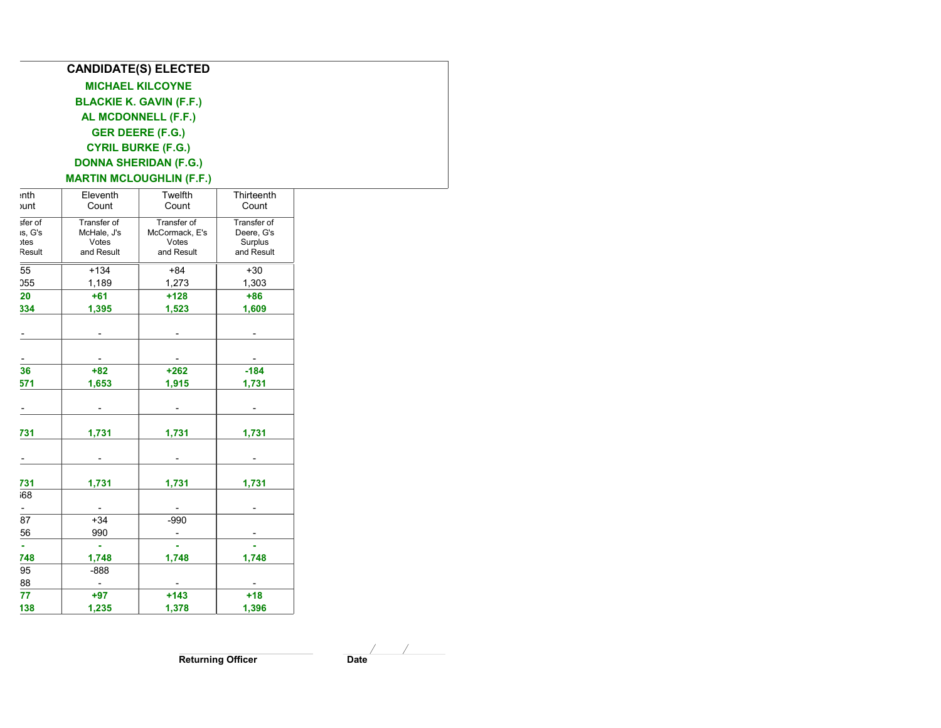| <b>CANDIDATE(S) ELECTED</b>     |  |
|---------------------------------|--|
| <b>MICHAEL KILCOYNE</b>         |  |
| <b>BLACKIE K. GAVIN (F.F.)</b>  |  |
| AL MCDONNELL (F.F.)             |  |
| <b>GER DEERE (F.G.)</b>         |  |
| <b>CYRIL BURKE (F.G.)</b>       |  |
| <b>DONNA SHERIDAN (F.G.)</b>    |  |
| <b>MARTIN MCLOUGHLIN (F.F.)</b> |  |
|                                 |  |

| <b>unt</b>       | Eleventh<br>Count                    | Twelfth<br>Count                   | Thirteenth<br>Count               |
|------------------|--------------------------------------|------------------------------------|-----------------------------------|
| sfer of          | Transfer of                          | Transfer of                        | Transfer of                       |
| is, G's          | McHale, J's                          | McCormack, E's                     | Deere, G's                        |
| $\chi$<br>Result | Votes<br>and Result                  | Votes<br>and Result                | Surplus<br>and Result             |
| $\overline{55}$  | $+134$                               | $+84$                              | $+30$                             |
| 055              | 1,189                                | 1,273                              | 1,303                             |
| 20               | $+61$                                | $+128$                             | $+86$                             |
| 334              | 1,395                                | 1,523                              | 1,609                             |
|                  | $\sim$                               | $\sim$                             | $\sim$                            |
|                  |                                      |                                    |                                   |
| ٠<br>36          | $\sim$                               | $\sim$                             | $\overline{\phantom{a}}$          |
| 571              | $+82$                                | $+262$                             | $-184$                            |
|                  | 1,653                                | 1,915                              | 1,731                             |
|                  | $\blacksquare$                       | $\blacksquare$                     | $\overline{\phantom{a}}$          |
| 731              | 1,731                                | 1,731                              | 1,731                             |
|                  |                                      |                                    |                                   |
|                  | $\sim$                               | $\blacksquare$                     | $\blacksquare$                    |
| 731              | 1,731                                | 1,731                              | 1,731                             |
| 68               |                                      |                                    |                                   |
|                  | $\blacksquare$                       | $\overline{\phantom{a}}$           | $\overline{\phantom{a}}$          |
| $rac{1}{87}$     | $+34$                                | $-990$                             |                                   |
| 56               | 990                                  | $\sim$                             | $\overline{\phantom{a}}$          |
| а,               | $\omega$                             | $\mathbf{r}$                       | ¥.                                |
| 748              | 1,748                                | 1,748                              | 1,748                             |
| 95               | $-888$                               |                                    |                                   |
| $\frac{88}{77}$  | $\mathcal{L}_{\mathcal{A}}$<br>$+97$ | $\overline{\phantom{a}}$<br>$+143$ | $\overline{\phantom{a}}$<br>$+18$ |
| 138              | 1,235                                | 1,378                              | 1,396                             |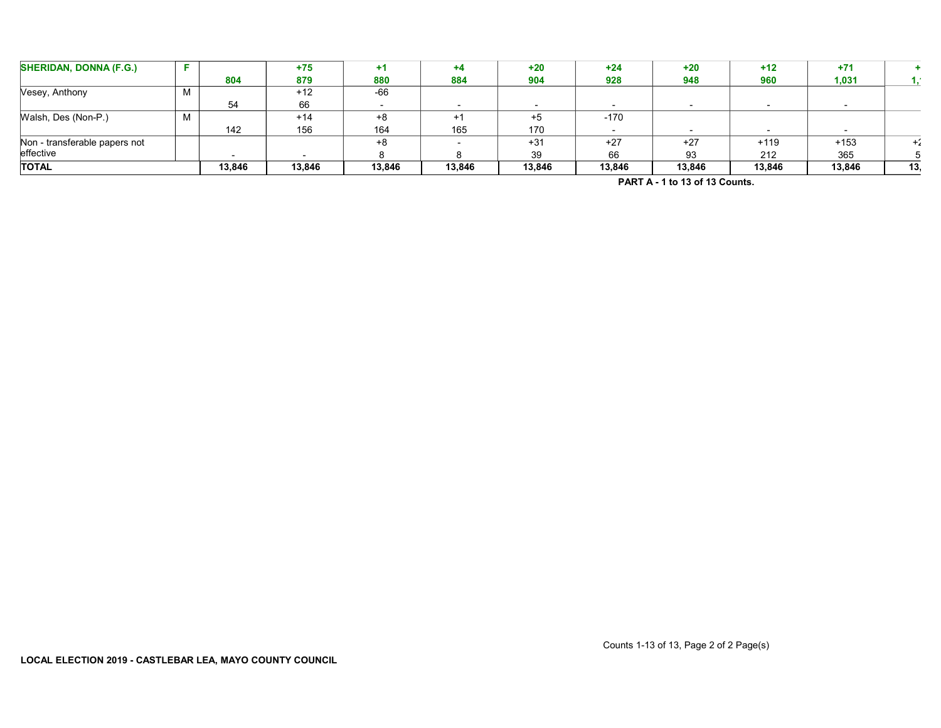| <b>SHERIDAN, DONNA (F.G.)</b> |     |        | $+75$  |        |        | $+20$  | $+24$  | $+20$  | $+12$  | $+71$  |     |
|-------------------------------|-----|--------|--------|--------|--------|--------|--------|--------|--------|--------|-----|
|                               |     | 804    | 879    | 880    | 884    | 904    | 928    | 948    | 960    | 1,031  |     |
| Vesey, Anthony                | N A |        | $+12$  | $-66$  |        |        |        |        |        |        |     |
|                               |     | 54     | 66     |        |        |        |        |        |        |        |     |
| Walsh, Des (Non-P.)           | N A |        | $+14$  | +8     |        | $+5$   | $-170$ |        |        |        |     |
|                               |     | 142    | 156    | 164    | 165    | 170    |        |        |        |        |     |
| Non - transferable papers not |     |        |        | $+8$   |        | $+31$  | $+27$  | $+27$  | $+119$ | $+153$ | ٠.  |
| effective                     |     |        |        |        |        | 39     | 66     | 93     | 212    | 365    |     |
|                               |     | 13,846 | 13,846 | 13,846 | 13,846 | 13,846 | 13,846 | 13,846 | 13,846 | 13,846 | 13. |
| <b>TOTAL</b>                  |     |        |        |        |        |        |        |        |        |        |     |

PART A - 1 to 13 of 13 Counts.